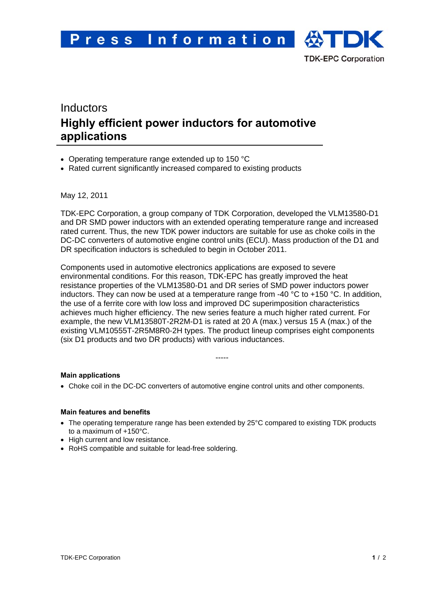

# Inductors **Highly efficient power inductors for automotive applications**

- Operating temperature range extended up to 150 °C
- Rated current significantly increased compared to existing products

May 12, 2011

TDK-EPC Corporation, a group company of TDK Corporation, developed the VLM13580-D1 and DR SMD power inductors with an extended operating temperature range and increased rated current. Thus, the new TDK power inductors are suitable for use as choke coils in the DC-DC converters of automotive engine control units (ECU). Mass production of the D1 and DR specification inductors is scheduled to begin in October 2011.

Components used in automotive electronics applications are exposed to severe environmental conditions. For this reason, TDK-EPC has greatly improved the heat resistance properties of the VLM13580-D1 and DR series of SMD power inductors power inductors. They can now be used at a temperature range from -40  $^{\circ}$ C to +150  $^{\circ}$ C. In addition, the use of a ferrite core with low loss and improved DC superimposition characteristics achieves much higher efficiency. The new series feature a much higher rated current. For example, the new VLM13580T-2R2M-D1 is rated at 20 A (max.) versus 15 A (max.) of the existing VLM10555T-2R5M8R0-2H types. The product lineup comprises eight components (six D1 products and two DR products) with various inductances.

-----

**Main applications** 

• Choke coil in the DC-DC converters of automotive engine control units and other components.

### **Main features and benefits**

- The operating temperature range has been extended by 25°C compared to existing TDK products to a maximum of +150°C.
- High current and low resistance.
- RoHS compatible and suitable for lead-free soldering.